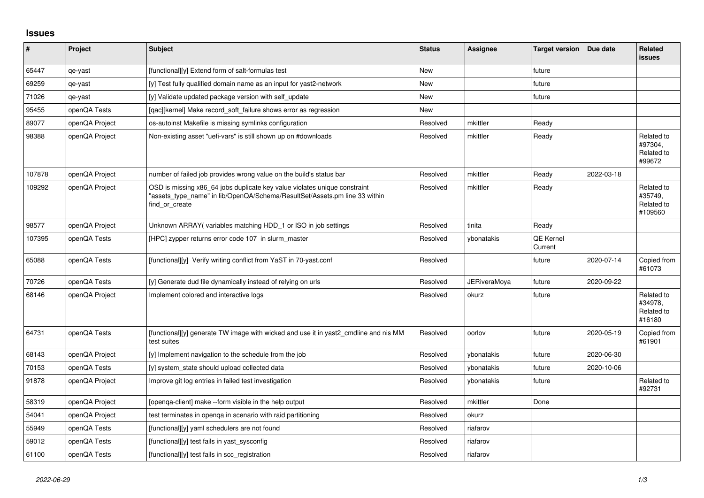## **Issues**

| #      | Project        | <b>Subject</b>                                                                                                                                                            | <b>Status</b> | <b>Assignee</b> | <b>Target version</b> | Due date   | <b>Related</b><br><b>issues</b>                |
|--------|----------------|---------------------------------------------------------------------------------------------------------------------------------------------------------------------------|---------------|-----------------|-----------------------|------------|------------------------------------------------|
| 65447  | qe-yast        | [functional][y] Extend form of salt-formulas test                                                                                                                         | New           |                 | future                |            |                                                |
| 69259  | qe-yast        | [y] Test fully qualified domain name as an input for yast2-network                                                                                                        | <b>New</b>    |                 | future                |            |                                                |
| 71026  | qe-yast        | [y] Validate updated package version with self update                                                                                                                     | New           |                 | future                |            |                                                |
| 95455  | openQA Tests   | [gac][kernel] Make record soft failure shows error as regression                                                                                                          | <b>New</b>    |                 |                       |            |                                                |
| 89077  | openQA Project | os-autoinst Makefile is missing symlinks configuration                                                                                                                    | Resolved      | mkittler        | Ready                 |            |                                                |
| 98388  | openQA Project | Non-existing asset "uefi-vars" is still shown up on #downloads                                                                                                            | Resolved      | mkittler        | Ready                 |            | Related to<br>#97304,<br>Related to<br>#99672  |
| 107878 | openQA Project | number of failed job provides wrong value on the build's status bar                                                                                                       | Resolved      | mkittler        | Ready                 | 2022-03-18 |                                                |
| 109292 | openQA Project | OSD is missing x86 64 jobs duplicate key value violates unique constraint<br>'assets type name" in lib/OpenQA/Schema/ResultSet/Assets.pm line 33 within<br>find or create | Resolved      | mkittler        | Ready                 |            | Related to<br>#35749.<br>Related to<br>#109560 |
| 98577  | openQA Project | Unknown ARRAY(variables matching HDD_1 or ISO in job settings                                                                                                             | Resolved      | tinita          | Ready                 |            |                                                |
| 107395 | openQA Tests   | [HPC] zypper returns error code 107 in slurm master                                                                                                                       | Resolved      | ybonatakis      | QE Kernel<br>Current  |            |                                                |
| 65088  | openQA Tests   | [functional][y] Verify writing conflict from YaST in 70-yast.conf                                                                                                         | Resolved      |                 | future                | 2020-07-14 | Copied from<br>#61073                          |
| 70726  | openQA Tests   | [y] Generate dud file dynamically instead of relying on urls                                                                                                              | Resolved      | JERiveraMoya    | future                | 2020-09-22 |                                                |
| 68146  | openQA Project | Implement colored and interactive logs                                                                                                                                    | Resolved      | okurz           | future                |            | Related to<br>#34978,<br>Related to<br>#16180  |
| 64731  | openQA Tests   | [functional][y] generate TW image with wicked and use it in yast2 cmdline and nis MM<br>test suites                                                                       | Resolved      | oorlov          | future                | 2020-05-19 | Copied from<br>#61901                          |
| 68143  | openQA Project | [y] Implement navigation to the schedule from the job                                                                                                                     | Resolved      | vbonatakis      | future                | 2020-06-30 |                                                |
| 70153  | openQA Tests   | [y] system state should upload collected data                                                                                                                             | Resolved      | vbonatakis      | future                | 2020-10-06 |                                                |
| 91878  | openQA Project | Improve git log entries in failed test investigation                                                                                                                      | Resolved      | vbonatakis      | future                |            | Related to<br>#92731                           |
| 58319  | openQA Project | [openga-client] make --form visible in the help output                                                                                                                    | Resolved      | mkittler        | Done                  |            |                                                |
| 54041  | openQA Project | test terminates in openga in scenario with raid partitioning                                                                                                              | Resolved      | okurz           |                       |            |                                                |
| 55949  | openQA Tests   | [functional][y] yaml schedulers are not found                                                                                                                             | Resolved      | riafarov        |                       |            |                                                |
| 59012  | openQA Tests   | [functional][y] test fails in yast sysconfig                                                                                                                              | Resolved      | riafarov        |                       |            |                                                |
| 61100  | openQA Tests   | [functional][y] test fails in scc registration                                                                                                                            | Resolved      | riafarov        |                       |            |                                                |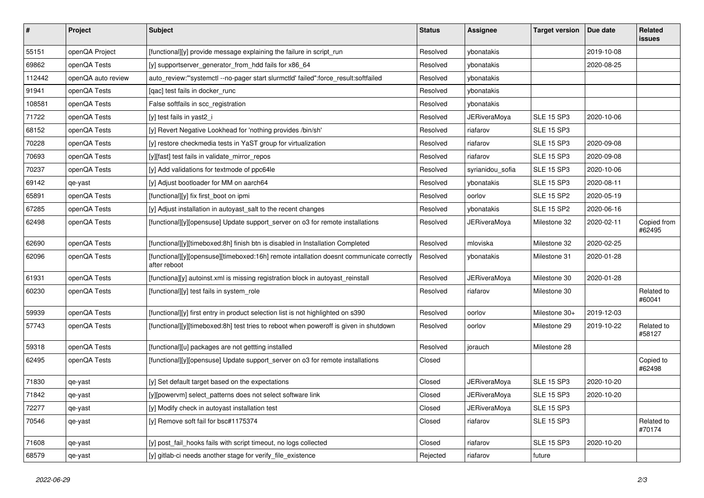| $\pmb{\#}$ | Project            | Subject                                                                                                  | <b>Status</b> | <b>Assignee</b>     | <b>Target version</b> | Due date   | Related<br>issues     |
|------------|--------------------|----------------------------------------------------------------------------------------------------------|---------------|---------------------|-----------------------|------------|-----------------------|
| 55151      | openQA Project     | [functional][y] provide message explaining the failure in script_run                                     | Resolved      | ybonatakis          |                       | 2019-10-08 |                       |
| 69862      | openQA Tests       | [y] supportserver_generator_from_hdd fails for x86_64                                                    | Resolved      | ybonatakis          |                       | 2020-08-25 |                       |
| 112442     | openQA auto review | auto_review:"'systemctl --no-pager start slurmctld' failed":force_result:softfailed                      | Resolved      | ybonatakis          |                       |            |                       |
| 91941      | openQA Tests       | [qac] test fails in docker_runc                                                                          | Resolved      | ybonatakis          |                       |            |                       |
| 108581     | openQA Tests       | False softfails in scc registration                                                                      | Resolved      | ybonatakis          |                       |            |                       |
| 71722      | openQA Tests       | [y] test fails in yast2_i                                                                                | Resolved      | <b>JERiveraMoya</b> | <b>SLE 15 SP3</b>     | 2020-10-06 |                       |
| 68152      | openQA Tests       | [y] Revert Negative Lookhead for 'nothing provides /bin/sh'                                              | Resolved      | riafarov            | <b>SLE 15 SP3</b>     |            |                       |
| 70228      | openQA Tests       | [y] restore checkmedia tests in YaST group for virtualization                                            | Resolved      | riafarov            | <b>SLE 15 SP3</b>     | 2020-09-08 |                       |
| 70693      | openQA Tests       | [y][fast] test fails in validate_mirror_repos                                                            | Resolved      | riafarov            | <b>SLE 15 SP3</b>     | 2020-09-08 |                       |
| 70237      | openQA Tests       | [y] Add validations for textmode of ppc64le                                                              | Resolved      | syrianidou_sofia    | <b>SLE 15 SP3</b>     | 2020-10-06 |                       |
| 69142      | qe-yast            | [y] Adjust bootloader for MM on aarch64                                                                  | Resolved      | ybonatakis          | <b>SLE 15 SP3</b>     | 2020-08-11 |                       |
| 65891      | openQA Tests       | [functional][y] fix first_boot on ipmi                                                                   | Resolved      | oorlov              | <b>SLE 15 SP2</b>     | 2020-05-19 |                       |
| 67285      | openQA Tests       | [y] Adjust installation in autoyast_salt to the recent changes                                           | Resolved      | ybonatakis          | <b>SLE 15 SP2</b>     | 2020-06-16 |                       |
| 62498      | openQA Tests       | [functional][y][opensuse] Update support_server on o3 for remote installations                           | Resolved      | <b>JERiveraMoya</b> | Milestone 32          | 2020-02-11 | Copied from<br>#62495 |
| 62690      | openQA Tests       | [functional][y][timeboxed:8h] finish btn is disabled in Installation Completed                           | Resolved      | mloviska            | Milestone 32          | 2020-02-25 |                       |
| 62096      | openQA Tests       | [functional][y][opensuse][timeboxed:16h] remote intallation doesnt communicate correctly<br>after reboot | Resolved      | ybonatakis          | Milestone 31          | 2020-01-28 |                       |
| 61931      | openQA Tests       | [functiona][y] autoinst.xml is missing registration block in autoyast_reinstall                          | Resolved      | <b>JERiveraMoya</b> | Milestone 30          | 2020-01-28 |                       |
| 60230      | openQA Tests       | [functional][y] test fails in system_role                                                                | Resolved      | riafarov            | Milestone 30          |            | Related to<br>#60041  |
| 59939      | openQA Tests       | [functional][y] first entry in product selection list is not highlighted on s390                         | Resolved      | oorlov              | Milestone 30+         | 2019-12-03 |                       |
| 57743      | openQA Tests       | [functional][y][timeboxed:8h] test tries to reboot when poweroff is given in shutdown                    | Resolved      | oorlov              | Milestone 29          | 2019-10-22 | Related to<br>#58127  |
| 59318      | openQA Tests       | [functional][u] packages are not gettting installed                                                      | Resolved      | jorauch             | Milestone 28          |            |                       |
| 62495      | openQA Tests       | [functional][y][opensuse] Update support_server on o3 for remote installations                           | Closed        |                     |                       |            | Copied to<br>#62498   |
| 71830      | qe-yast            | [y] Set default target based on the expectations                                                         | Closed        | <b>JERiveraMoya</b> | <b>SLE 15 SP3</b>     | 2020-10-20 |                       |
| 71842      | qe-yast            | [y][powervm] select patterns does not select software link                                               | Closed        | <b>JERiveraMoya</b> | <b>SLE 15 SP3</b>     | 2020-10-20 |                       |
| 72277      | qe-yast            | [y] Modify check in autoyast installation test                                                           | Closed        | <b>JERiveraMoya</b> | <b>SLE 15 SP3</b>     |            |                       |
| 70546      | qe-yast            | [y] Remove soft fail for bsc#1175374                                                                     | Closed        | riafarov            | <b>SLE 15 SP3</b>     |            | Related to<br>#70174  |
| 71608      | qe-yast            | [y] post_fail_hooks fails with script timeout, no logs collected                                         | Closed        | riafarov            | <b>SLE 15 SP3</b>     | 2020-10-20 |                       |
| 68579      | qe-yast            | [y] gitlab-ci needs another stage for verify_file_existence                                              | Rejected      | riafarov            | future                |            |                       |